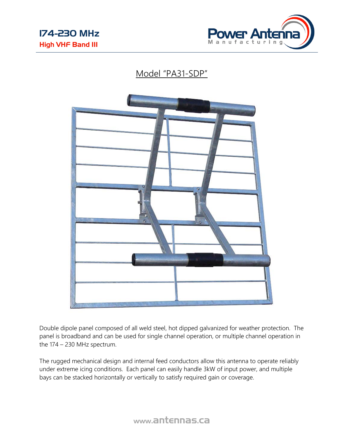

## Model "PA31-SDP"



Double dipole panel composed of all weld steel, hot dipped galvanized for weather protection. The panel is broadband and can be used for single channel operation, or multiple channel operation in the 174 – 230 MHz spectrum.

The rugged mechanical design and internal feed conductors allow this antenna to operate reliably under extreme icing conditions. Each panel can easily handle 3kW of input power, and multiple bays can be stacked horizontally or vertically to satisfy required gain or coverage.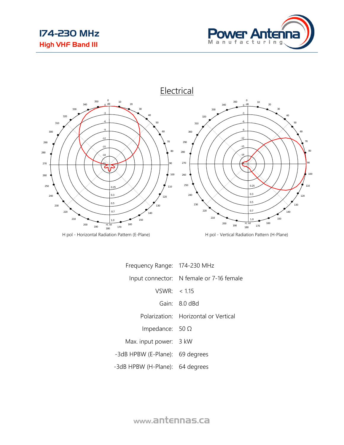



H pol - Horizontal Radiation Pattern (E-Plane) H pol - Vertical Radiation Pattern (H-Plane)

| Frequency Range: 174-230 MHz    |                                          |
|---------------------------------|------------------------------------------|
|                                 | Input connector: N female or 7-16 female |
| VSWR: < 1.15                    |                                          |
|                                 | Gain: 8.0 dBd                            |
|                                 | Polarization: Horizontal or Vertical     |
| Impedance: $50 \Omega$          |                                          |
| Max. input power: 3 kW          |                                          |
| -3dB HPBW (E-Plane): 69 degrees |                                          |
| -3dB HPBW (H-Plane): 64 degrees |                                          |

www.antennas.ca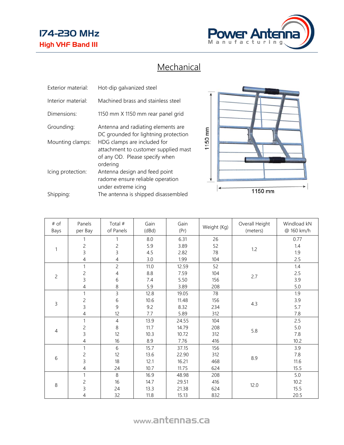## 174-230 MHz High VHF Band III



## **Mechanical**

| Exterior material: | Hot-dip galvanized steel                                                                                          |
|--------------------|-------------------------------------------------------------------------------------------------------------------|
| Interior material: | Machined brass and stainless steel                                                                                |
| Dimensions:        | 1150 mm X 1150 mm rear panel grid                                                                                 |
| Grounding:         | Antenna and radiating elements are<br>DC grounded for lightning protection                                        |
| Mounting clamps:   | HDG clamps are included for<br>attachment to customer supplied mast<br>of any OD. Please specify when<br>ordering |
| Icing protection:  | Antenna design and feed point<br>radome ensure reliable operation<br>under extreme icing                          |
| Shipping:          | The antenna is shipped disassembled                                                                               |



| # of<br>Bays   | Panels<br>per Bay | Total #<br>of Panels | Gain<br>(dBd) | Gain<br>(Pr) | Weight (Kg) | Overall Height<br>(meters) | Windload kN<br>@ 160 km/h |
|----------------|-------------------|----------------------|---------------|--------------|-------------|----------------------------|---------------------------|
|                | 1                 | 1                    | 8.0           | 6.31         | 26          | 1.2                        | 0.77                      |
|                | $\overline{c}$    | $\overline{c}$       | 5.9           | 3.89         | 52          |                            | 1.4                       |
| 1              | $\overline{3}$    | $\overline{3}$       | 4.5           | 2.82         | 78          |                            | 1.9                       |
|                | $\overline{4}$    | 4                    | 3.0           | 1.99         | 104         |                            | 2.5                       |
|                | 1                 | $\overline{c}$       | 11.0          | 12.59        | 52          | 2.7                        | 1.4                       |
| $\overline{c}$ | $\overline{c}$    | $\overline{4}$       | 8.8           | 7.59         | 104         |                            | 2.5                       |
|                | $\overline{3}$    | 6                    | 7.4           | 5.50         | 156         |                            | 3.9                       |
|                | $\overline{4}$    | 8                    | 5.9           | 3.89         | 208         |                            | 5.0                       |
| 3              | 1                 | 3                    | 12.8          | 19.05        | 78          | 4.3                        | 1.9                       |
|                | $\overline{c}$    | 6                    | 10.6          | 11.48        | 156         |                            | 3.9                       |
|                | $\overline{3}$    | $\overline{9}$       | 9.2           | 8.32         | 234         |                            | 5.7                       |
|                | $\overline{4}$    | 12                   | 7.7           | 5.89         | 312         |                            | 7.8                       |
| $\overline{4}$ | $\mathbf{1}$      | $\overline{4}$       | 13.9          | 24.55        | 104         | 5.8                        | 2.5                       |
|                | $\overline{c}$    | $\,8\,$              | 11.7          | 14.79        | 208         |                            | 5.0                       |
|                | $\overline{3}$    | 12                   | 10.3          | 10.72        | 312         |                            | 7.8                       |
|                | $\overline{4}$    | 16                   | 8.9           | 7.76         | 416         |                            | 10.2                      |
| 6              | 1                 | $\,$ 6 $\,$          | 15.7          | 37.15        | 156         | 8.9                        | 3.9                       |
|                | $\overline{c}$    | 12                   | 13.6          | 22.90        | 312         |                            | 7.8                       |
|                | $\overline{3}$    | 18                   | 12.1          | 16.21        | 468         |                            | 11.6                      |
|                | $\overline{4}$    | 24                   | 10.7          | 11.75        | 624         |                            | 15.5                      |
| $\,8\,$        | $\mathbf{1}$      | 8                    | 16.9          | 48.98        | 208         | 12.0                       | 5.0                       |
|                | $\overline{c}$    | 16                   | 14.7          | 29.51        | 416         |                            | 10.2                      |
|                | $\overline{3}$    | 24                   | 13.3          | 21.38        | 624         |                            | 15.5                      |
|                | $\overline{4}$    | 32                   | 11.8          | 15.13        | 832         |                            | 20.5                      |